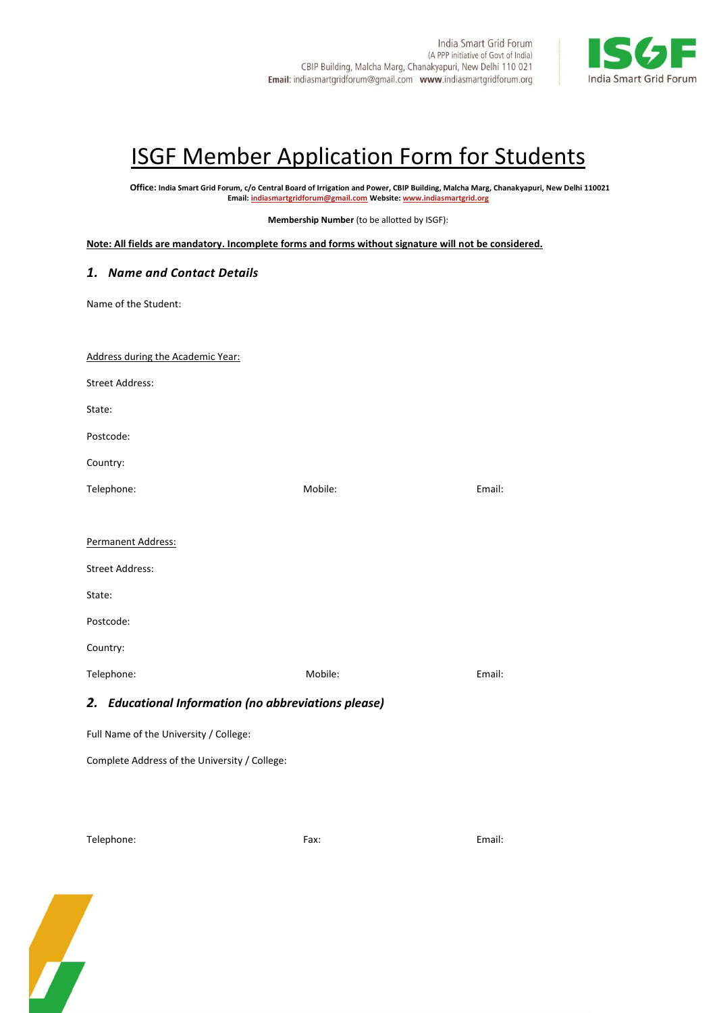

# **ISGF Member Application Form for Students**

**Office: India Smart Grid Forum, c/o Central Board of Irrigation and Power, CBIP Building, Malcha Marg, Chanakyapuri, New Delhi 110021 Email[: indiasmartgridforum@gmail.com](mailto:indiasmartgridforum@gmail.com) Website[: www.indiasmartgrid.org](http://www.indiasmartgridforum.org/)**

**Membership Number** (to be allotted by ISGF):

**Note: All fields are mandatory. Incomplete forms and forms without signature will not be considered.**

## *1. Name and Contact Details*

Name of the Student:

| Address during the Academic Year:                    |         |        |
|------------------------------------------------------|---------|--------|
| <b>Street Address:</b>                               |         |        |
| State:                                               |         |        |
| Postcode:                                            |         |        |
| Country:                                             |         |        |
| Telephone:                                           | Mobile: | Email: |
| Permanent Address:                                   |         |        |
| <b>Street Address:</b>                               |         |        |
| State:                                               |         |        |
| Postcode:                                            |         |        |
| Country:                                             |         |        |
| Telephone:                                           | Mobile: | Email: |
| 2. Educational Information (no abbreviations please) |         |        |
| Full Name of the University / College:               |         |        |

Complete Address of the University / College:

Telephone: Fax: Email:

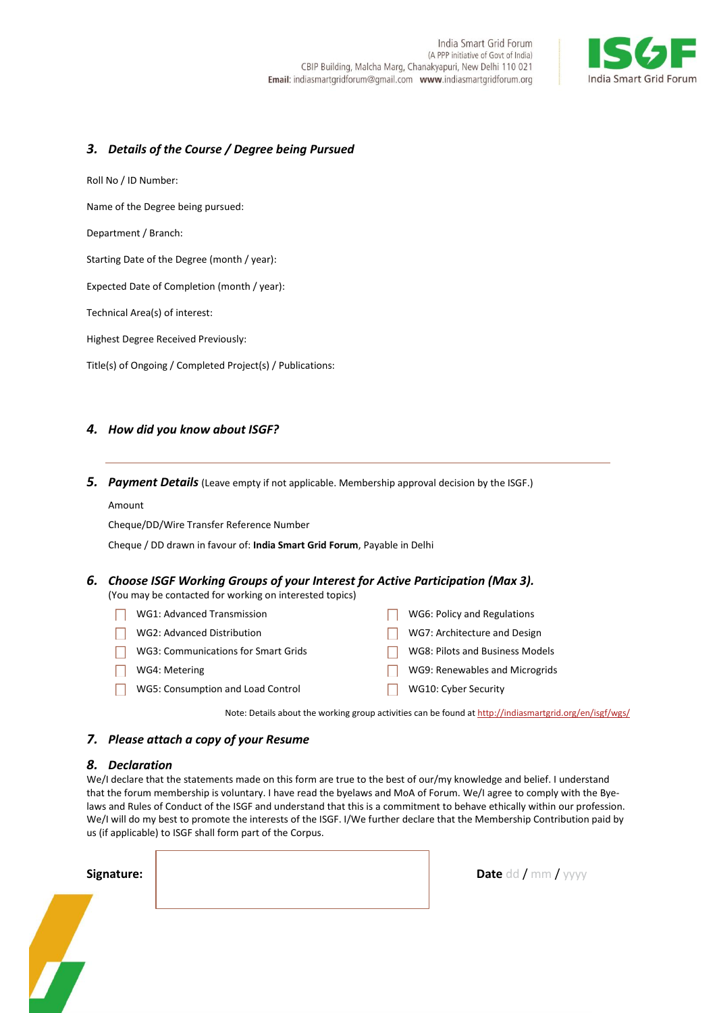

## *3. Details of the Course / Degree being Pursued*

Roll No / ID Number:

Name of the Degree being pursued:

Department / Branch:

Starting Date of the Degree (month / year):

Expected Date of Completion (month / year):

Technical Area(s) of interest:

Highest Degree Received Previously:

Title(s) of Ongoing / Completed Project(s) / Publications:

### *4. How did you know about ISGF?*

*5. Payment Details* (Leave empty if not applicable. Membership approval decision by the ISGF.)

#### Amount

Cheque/DD/Wire Transfer Reference Number

Cheque / DD drawn in favour of: **India Smart Grid Forum**, Payable in Delhi

## *6. Choose ISGF Working Groups of your Interest for Active Participation (Max 3).*

(You may be contacted for working on interested topics)

- WG1: Advanced Transmission **National Contract Contract Contract Contract Contract Contract Contract Contract Contract Contract Contract Contract Contract Contract Contract Contract Contract Contract Contract Contract Contr**
- WG2: Advanced Distribution **WAGE 2006** WG7: Architecture and Design
- WG3: Communications for Smart Grids **Internal Communications for Smart Grids Nodels**
- WG4: Metering WG9: Renewables and Microgrids
- WG5: Consumption and Load Control **WG10: Cyber Security**

Note: Details about the working group activities can be found a[t http://indiasmartgrid.org/en/isgf/wgs/](http://indiasmartgrid.org/en/isgf/wgs/)

**Date** dd / mm / yyyy

#### *7. Please attach a copy of your Resume*

#### *8. Declaration*

We/I declare that the statements made on this form are true to the best of our/my knowledge and belief. I understand that the forum membership is voluntary. I have read the byelaws and MoA of Forum. We/I agree to comply with the Byelaws and Rules of Conduct of the ISGF and understand that this is a commitment to behave ethically within our profession. We/I will do my best to promote the interests of the ISGF. I/We further declare that the Membership Contribution paid by us (if applicable) to ISGF shall form part of the Corpus.

| Signature: |  |
|------------|--|
|            |  |
|            |  |
|            |  |